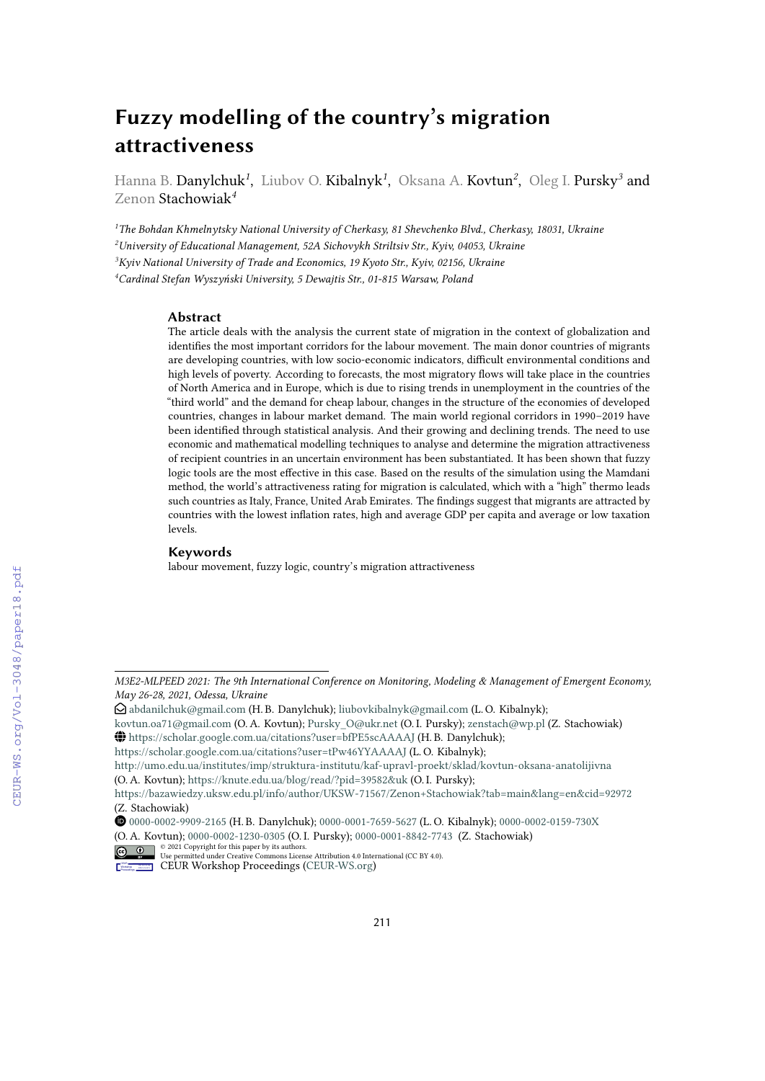# **Fuzzy modelling of the country's migration attractiveness**

Hanna B. D**anylchuk<sup>1</sup>, Liubov O. Kibalnyk<sup>1</sup>, Oksana A. Kovtun<sup>2</sup>, Oleg I. Pursky<sup>3</sup> and** Zenon Stachowiak*<sup>4</sup>*

*The Bohdan Khmelnytsky National University of Cherkasy, 81 Shevchenko Blvd., Cherkasy, 18031, Ukraine University of Educational Management, 52A Sichovykh Striltsiv Str., Kyiv, 04053, Ukraine Kyiv National University of Trade and Economics, 19 Kyoto Str., Kyiv, 02156, Ukraine Cardinal Stefan Wyszyński University, 5 Dewajtis Str., 01-815 Warsaw, Poland*

#### **Abstract**

The article deals with the analysis the current state of migration in the context of globalization and identifies the most important corridors for the labour movement. The main donor countries of migrants are developing countries, with low socio-economic indicators, difficult environmental conditions and high levels of poverty. According to forecasts, the most migratory flows will take place in the countries of North America and in Europe, which is due to rising trends in unemployment in the countries of the "third world" and the demand for cheap labour, changes in the structure of the economies of developed countries, changes in labour market demand. The main world regional corridors in 1990–2019 have been identified through statistical analysis. And their growing and declining trends. The need to use economic and mathematical modelling techniques to analyse and determine the migration attractiveness of recipient countries in an uncertain environment has been substantiated. It has been shown that fuzzy logic tools are the most effective in this case. Based on the results of the simulation using the Mamdani method, the world's attractiveness rating for migration is calculated, which with a "high" thermo leads such countries as Italy, France, United Arab Emirates. The findings suggest that migrants are attracted by countries with the lowest inflation rates, high and average GDP per capita and average or low taxation levels.

#### **Keywords**

labour movement, fuzzy logic, country's migration attractiveness

<https://scholar.google.com.ua/citations?user=tPw46YYAAAAJ> (L. O. Kibalnyk);

<http://umo.edu.ua/institutes/imp/struktura-institutu/kaf-upravl-proekt/sklad/kovtun-oksana-anatolijivna> (O. A. Kovtun); <https://knute.edu.ua/blog/read/?pid=39582&uk> (O. I. Pursky);

CEUR Workshop [Proceedings](http://ceur-ws.org) [\(CEUR-WS.org\)](http://ceur-ws.org)

*M3E2-MLPEED 2021: The 9th International Conference on Monitoring, Modeling & Management of Emergent Economy, May 26-28, 2021, Odessa, Ukraine*

 $\bigcirc$ [abdanilchuk@gmail.com](mailto:abdanilchuk@gmail.com) (H. B. Danylchuk); [liubovkibalnyk@gmail.com](mailto:liubovkibalnyk@gmail.com) (L. O. Kibalnyk);

[kovtun.oa71@gmail.com](mailto:kovtun.oa71@gmail.com) (O. A. Kovtun); [Pursky\\_O@ukr.net](mailto:Pursky_O@ukr.net) (O. I. Pursky); [zenstach@wp.pl](mailto:zenstach@wp.pl) (Z. Stachowiak) GLOBE <https://scholar.google.com.ua/citations?user=bfPE5scAAAAJ> (H. B. Danylchuk);

<https://bazawiedzy.uksw.edu.pl/info/author/UKSW-71567/Zenon+Stachowiak?tab=main&lang=en&cid=92972> (Z. Stachowiak)

Orcid [0000-0002-9909-2165](https://orcid.org/0000-0002-9909-2165) (H. B. Danylchuk); [0000-0001-7659-5627](https://orcid.org/0000-0001-7659-5627) (L. O. Kibalnyk); [0000-0002-0159-730X](https://orcid.org/0000-0002-0159-730X)

<sup>(</sup>O. A. Kovtun); [0000-0002-1230-0305](https://orcid.org/0000-0002-1230-0305) (O. I. Pursky); [0000-0001-8842-7743](https://orcid.org/ 0000-0001-8842-7743 ) (Z. Stachowiak)

 $\frac{1}{\omega}$   $\frac{1}{\omega}$   $\frac{1}{\omega}$   $\frac{1}{\omega}$  CD21 Copyright for this paper by its authors.<br>
CEUR permitted under Creative Commons License Attribution 4.0 International (CC BY 4.0).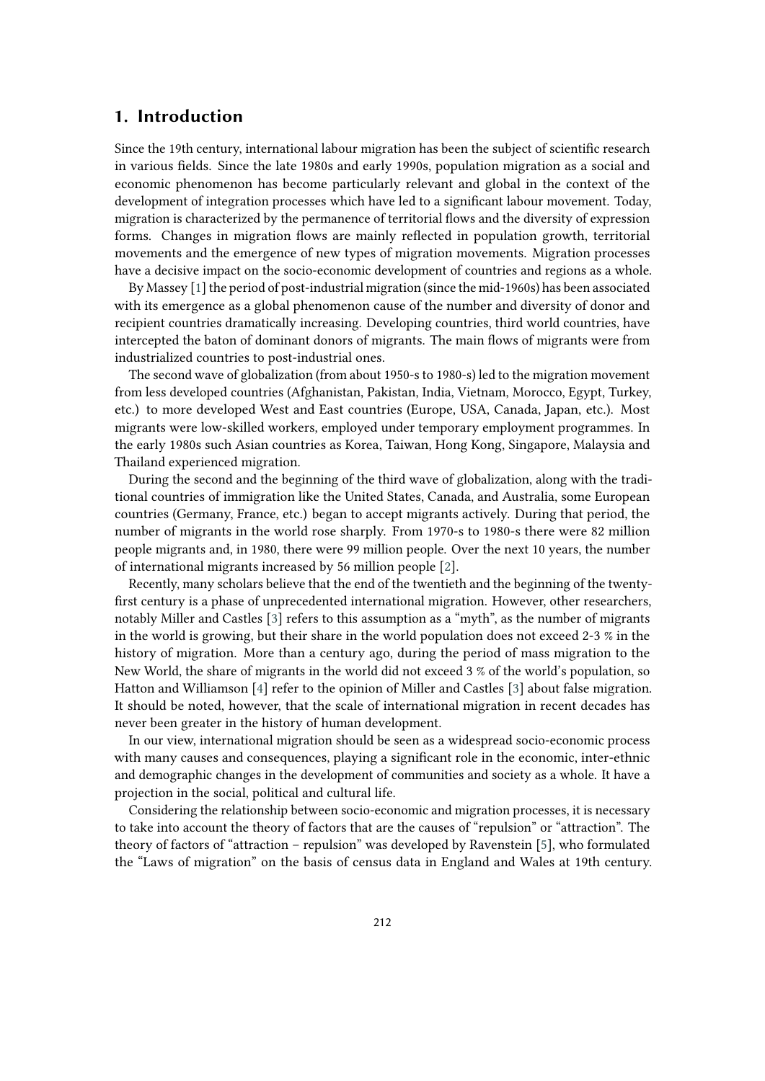### **1. Introduction**

Since the 19th century, international labour migration has been the subject of scientific research in various fields. Since the late 1980s and early 1990s, population migration as a social and economic phenomenon has become particularly relevant and global in the context of the development of integration processes which have led to a significant labour movement. Today, migration is characterized by the permanence of territorial flows and the diversity of expression forms. Changes in migration flows are mainly reflected in population growth, territorial movements and the emergence of new types of migration movements. Migration processes have a decisive impact on the socio-economic development of countries and regions as a whole.

By Massey  $[1]$  the period of post-industrial migration (since the mid-1960s) has been associated with its emergence as a global phenomenon cause of the number and diversity of donor and recipient countries dramatically increasing. Developing countries, third world countries, have intercepted the baton of dominant donors of migrants. The main flows of migrants were from industrialized countries to post-industrial ones.

The second wave of globalization (from about 1950-s to 1980-s) led to the migration movement from less developed countries (Afghanistan, Pakistan, India, Vietnam, Morocco, Egypt, Turkey, etc.) to more developed West and East countries (Europe, USA, Canada, Japan, etc.). Most migrants were low-skilled workers, employed under temporary employment programmes. In the early 1980s such Asian countries as Korea, Taiwan, Hong Kong, Singapore, Malaysia and Thailand experienced migration.

During the second and the beginning of the third wave of globalization, along with the traditional countries of immigration like the United States, Canada, and Australia, some European countries (Germany, France, etc.) began to accept migrants actively. During that period, the number of migrants in the world rose sharply. From 1970-s to 1980-s there were 82 million people migrants and, in 1980, there were 99 million people. Over the next 10 years, the number of international migrants increased by 56 million people [\[2\]](#page-12-0).

Recently, many scholars believe that the end of the twentieth and the beginning of the twentyfirst century is a phase of unprecedented international migration. However, other researchers, notably Miller and Castles [\[3\]](#page-12-1) refers to this assumption as a "myth", as the number of migrants in the world is growing, but their share in the world population does not exceed 2-3 % in the history of migration. More than a century ago, during the period of mass migration to the New World, the share of migrants in the world did not exceed 3 % of the world's population, so Hatton and Williamson [\[4\]](#page-12-2) refer to the opinion of Miller and Castles [\[3\]](#page-12-1) about false migration. It should be noted, however, that the scale of international migration in recent decades has never been greater in the history of human development.

In our view, international migration should be seen as a widespread socio-economic process with many causes and consequences, playing a significant role in the economic, inter-ethnic and demographic changes in the development of communities and society as a whole. It have a projection in the social, political and cultural life.

Considering the relationship between socio-economic and migration processes, it is necessary to take into account the theory of factors that are the causes of "repulsion" or "attraction". The theory of factors of "attraction – repulsion" was developed by Ravenstein [\[5\]](#page-12-3), who formulated the "Laws of migration" on the basis of census data in England and Wales at 19th century.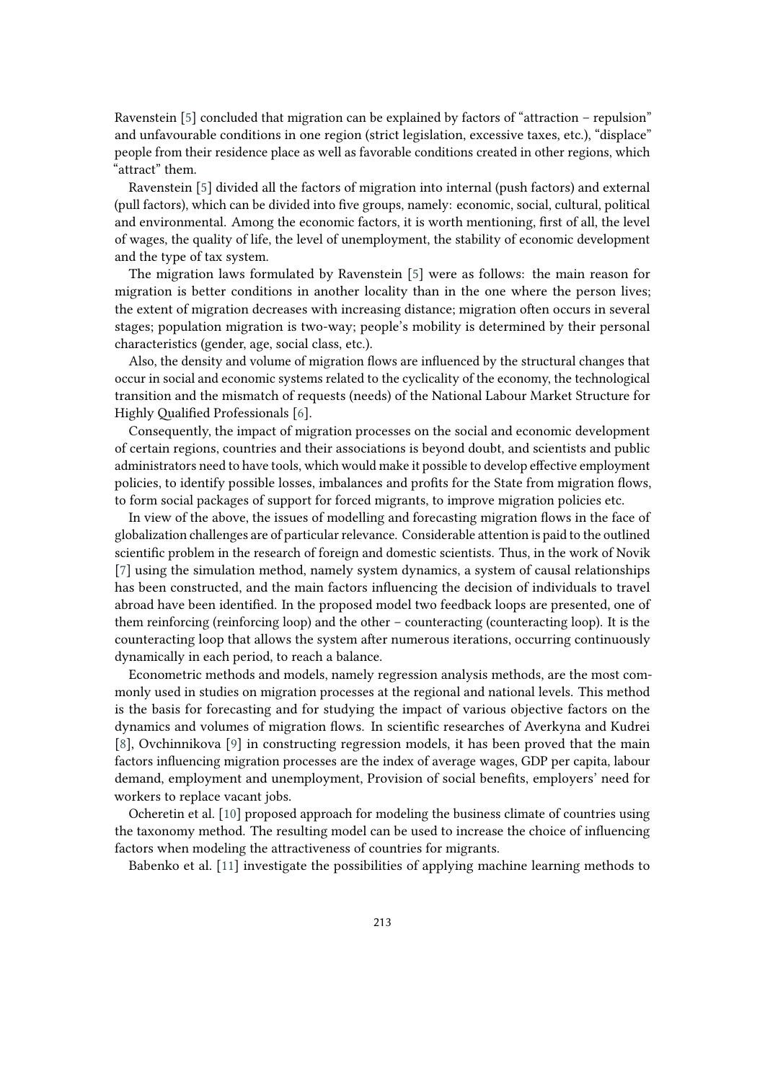Ravenstein [\[5\]](#page-12-3) concluded that migration can be explained by factors of "attraction – repulsion" and unfavourable conditions in one region (strict legislation, excessive taxes, etc.), "displace" people from their residence place as well as favorable conditions created in other regions, which "attract" them.

Ravenstein [\[5\]](#page-12-3) divided all the factors of migration into internal (push factors) and external (pull factors), which can be divided into five groups, namely: economic, social, cultural, political and environmental. Among the economic factors, it is worth mentioning, first of all, the level of wages, the quality of life, the level of unemployment, the stability of economic development and the type of tax system.

The migration laws formulated by Ravenstein [\[5\]](#page-12-3) were as follows: the main reason for migration is better conditions in another locality than in the one where the person lives; the extent of migration decreases with increasing distance; migration often occurs in several stages; population migration is two-way; people's mobility is determined by their personal characteristics (gender, age, social class, etc.).

Also, the density and volume of migration flows are influenced by the structural changes that occur in social and economic systems related to the cyclicality of the economy, the technological transition and the mismatch of requests (needs) of the National Labour Market Structure for Highly Qualified Professionals [\[6\]](#page-12-4).

Consequently, the impact of migration processes on the social and economic development of certain regions, countries and their associations is beyond doubt, and scientists and public administrators need to have tools, which would make it possible to develop effective employment policies, to identify possible losses, imbalances and profits for the State from migration flows, to form social packages of support for forced migrants, to improve migration policies etc.

In view of the above, the issues of modelling and forecasting migration flows in the face of globalization challenges are of particular relevance. Considerable attention is paid to the outlined scientific problem in the research of foreign and domestic scientists. Thus, in the work of Novik [\[7\]](#page-12-5) using the simulation method, namely system dynamics, a system of causal relationships has been constructed, and the main factors influencing the decision of individuals to travel abroad have been identified. In the proposed model two feedback loops are presented, one of them reinforcing (reinforcing loop) and the other – counteracting (counteracting loop). It is the counteracting loop that allows the system after numerous iterations, occurring continuously dynamically in each period, to reach a balance.

Econometric methods and models, namely regression analysis methods, are the most commonly used in studies on migration processes at the regional and national levels. This method is the basis for forecasting and for studying the impact of various objective factors on the dynamics and volumes of migration flows. In scientific researches of Averkyna and Kudrei [\[8\]](#page-12-6), Ovchinnikova [\[9\]](#page-12-7) in constructing regression models, it has been proved that the main factors influencing migration processes are the index of average wages, GDP per capita, labour demand, employment and unemployment, Provision of social benefits, employers' need for workers to replace vacant jobs.

Ocheretin et al. [\[10\]](#page-12-8) proposed approach for modeling the business climate of countries using the taxonomy method. The resulting model can be used to increase the choice of influencing factors when modeling the attractiveness of countries for migrants.

Babenko et al. [\[11\]](#page-12-9) investigate the possibilities of applying machine learning methods to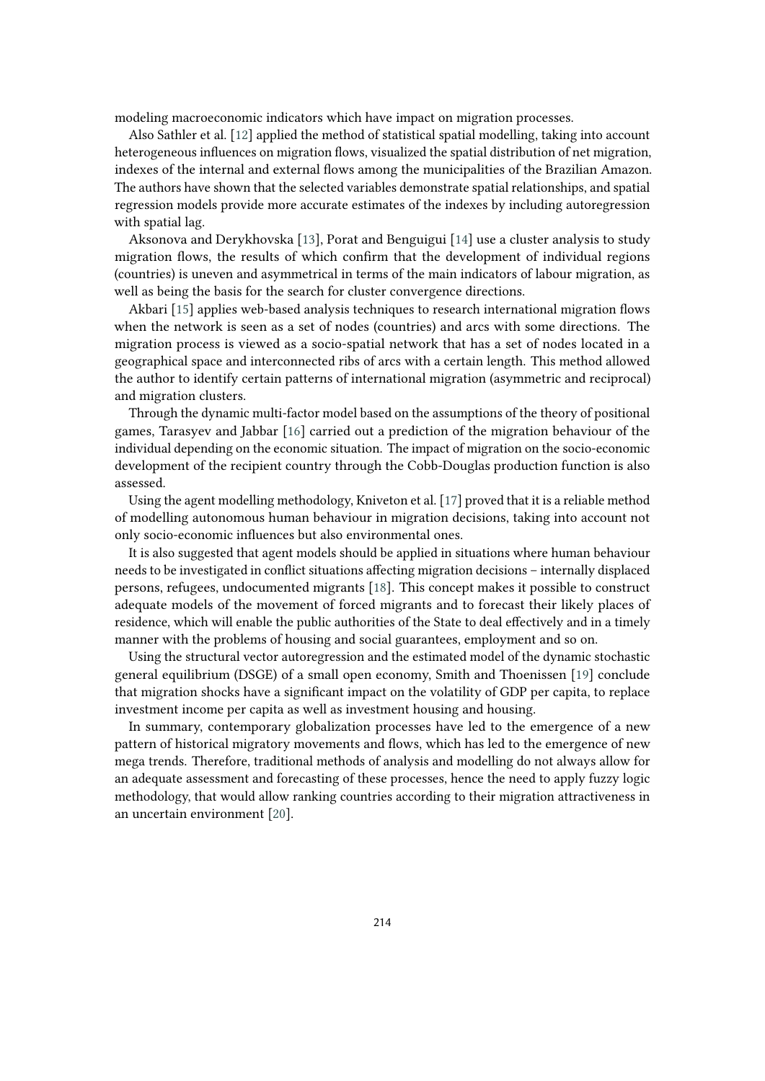modeling macroeconomic indicators which have impact on migration processes.

Also Sathler et al. [\[12\]](#page-12-10) applied the method of statistical spatial modelling, taking into account heterogeneous influences on migration flows, visualized the spatial distribution of net migration, indexes of the internal and external flows among the municipalities of the Brazilian Amazon. The authors have shown that the selected variables demonstrate spatial relationships, and spatial regression models provide more accurate estimates of the indexes by including autoregression with spatial lag.

Aksonova and Derykhovska [\[13\]](#page-12-11), Porat and Benguigui [\[14\]](#page-12-12) use a cluster analysis to study migration flows, the results of which confirm that the development of individual regions (countries) is uneven and asymmetrical in terms of the main indicators of labour migration, as well as being the basis for the search for cluster convergence directions.

Akbari [\[15\]](#page-12-13) applies web-based analysis techniques to research international migration flows when the network is seen as a set of nodes (countries) and arcs with some directions. The migration process is viewed as a socio-spatial network that has a set of nodes located in a geographical space and interconnected ribs of arcs with a certain length. This method allowed the author to identify certain patterns of international migration (asymmetric and reciprocal) and migration clusters.

Through the dynamic multi-factor model based on the assumptions of the theory of positional games, Tarasyev and Jabbar [\[16\]](#page-12-14) carried out a prediction of the migration behaviour of the individual depending on the economic situation. The impact of migration on the socio-economic development of the recipient country through the Cobb-Douglas production function is also assessed.

Using the agent modelling methodology, Kniveton et al. [\[17\]](#page-12-15) proved that it is a reliable method of modelling autonomous human behaviour in migration decisions, taking into account not only socio-economic influences but also environmental ones.

It is also suggested that agent models should be applied in situations where human behaviour needs to be investigated in conflict situations affecting migration decisions – internally displaced persons, refugees, undocumented migrants [\[18\]](#page-13-0). This concept makes it possible to construct adequate models of the movement of forced migrants and to forecast their likely places of residence, which will enable the public authorities of the State to deal effectively and in a timely manner with the problems of housing and social guarantees, employment and so on.

Using the structural vector autoregression and the estimated model of the dynamic stochastic general equilibrium (DSGE) of a small open economy, Smith and Thoenissen [\[19\]](#page-13-1) conclude that migration shocks have a significant impact on the volatility of GDP per capita, to replace investment income per capita as well as investment housing and housing.

In summary, contemporary globalization processes have led to the emergence of a new pattern of historical migratory movements and flows, which has led to the emergence of new mega trends. Therefore, traditional methods of analysis and modelling do not always allow for an adequate assessment and forecasting of these processes, hence the need to apply fuzzy logic methodology, that would allow ranking countries according to their migration attractiveness in an uncertain environment [\[20\]](#page-13-2).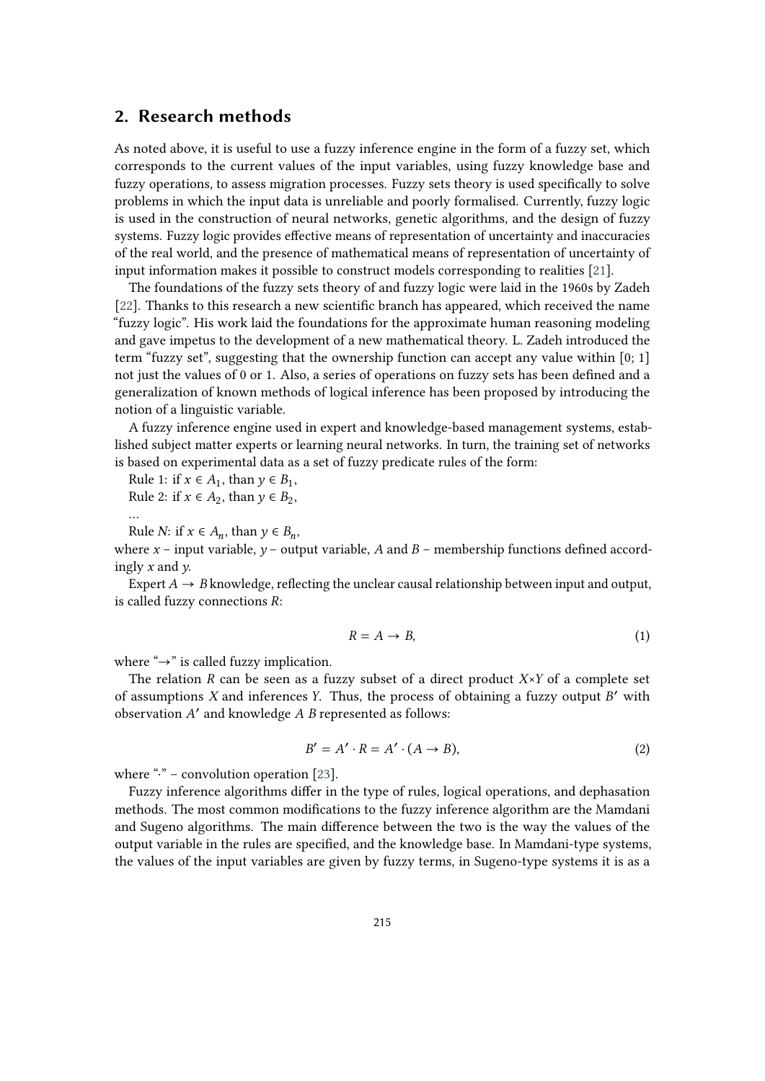### **2. Research methods**

As noted above, it is useful to use a fuzzy inference engine in the form of a fuzzy set, which corresponds to the current values of the input variables, using fuzzy knowledge base and fuzzy operations, to assess migration processes. Fuzzy sets theory is used specifically to solve problems in which the input data is unreliable and poorly formalised. Currently, fuzzy logic is used in the construction of neural networks, genetic algorithms, and the design of fuzzy systems. Fuzzy logic provides effective means of representation of uncertainty and inaccuracies of the real world, and the presence of mathematical means of representation of uncertainty of input information makes it possible to construct models corresponding to realities [\[21\]](#page-13-3).

The foundations of the fuzzy sets theory of and fuzzy logic were laid in the 1960s by Zadeh [\[22\]](#page-13-4). Thanks to this research a new scientific branch has appeared, which received the name "fuzzy logic". His work laid the foundations for the approximate human reasoning modeling and gave impetus to the development of a new mathematical theory. L. Zadeh introduced the term "fuzzy set", suggesting that the ownership function can accept any value within [0; 1] not just the values of 0 or 1. Also, a series of operations on fuzzy sets has been defined and a generalization of known methods of logical inference has been proposed by introducing the notion of a linguistic variable.

A fuzzy inference engine used in expert and knowledge-based management systems, established subject matter experts or learning neural networks. In turn, the training set of networks is based on experimental data as a set of fuzzy predicate rules of the form:

Rule 1: if  $x \in A_1$ , than  $y \in B_1$ ,

Rule 2: if  $x \in A_2$ , than  $y \in B_2$ ,

Rule *N*: if  $x \in A_n$ , than  $y \in B_n$ ,

…

where  $x$  – input variable,  $y$  – output variable, A and B – membership functions defined accordingly  $x$  and  $y$ .

Expert  $A \rightarrow B$  knowledge, reflecting the unclear causal relationship between input and output, is called fuzzy connections *:* 

$$
R = A \to B,\tag{1}
$$

where " $\rightarrow$ " is called fuzzy implication.

The relation R can be seen as a fuzzy subset of a direct product  $X \times Y$  of a complete set of assumptions  $X$  and inferences  $Y$ . Thus, the process of obtaining a fuzzy output  $B'$  with observation A' and knowledge A B represented as follows:

$$
B' = A' \cdot R = A' \cdot (A \to B),\tag{2}
$$

where " $\cdot$ " – convolution operation [\[23\]](#page-13-5).

Fuzzy inference algorithms differ in the type of rules, logical operations, and dephasation methods. The most common modifications to the fuzzy inference algorithm are the Mamdani and Sugeno algorithms. The main difference between the two is the way the values of the output variable in the rules are specified, and the knowledge base. In Mamdani-type systems, the values of the input variables are given by fuzzy terms, in Sugeno-type systems it is as a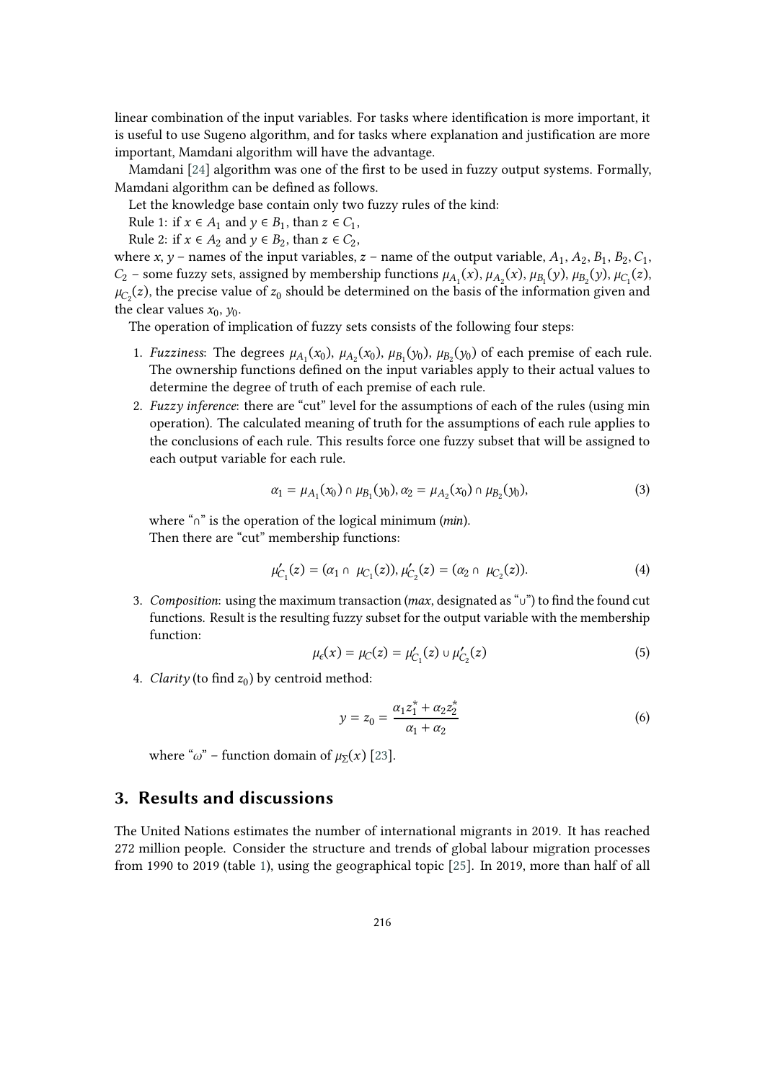linear combination of the input variables. For tasks where identification is more important, it is useful to use Sugeno algorithm, and for tasks where explanation and justification are more important, Mamdani algorithm will have the advantage.

Mamdani [\[24\]](#page-13-6) algorithm was one of the first to be used in fuzzy output systems. Formally, Mamdani algorithm can be defined as follows.

Let the knowledge base contain only two fuzzy rules of the kind:

Rule 1: if  $x \in A_1$  and  $y \in B_1$ , than  $z \in C_1$ ,

Rule 2: if  $x \in A_2$  and  $y \in B_2$ , than  $z \in C_2$ ,

where x, y – names of the input variables, z – name of the output variable,  $A_1$ ,  $A_2$ ,  $B_1$ ,  $B_2$ ,  $C_1$ ,  $C_2$  – some fuzzy sets, assigned by membership functions  $\mu_{A_1}(x)$ ,  $\mu_{A_2}(x)$ ,  $\mu_{B_1}(y)$ ,  $\mu_{B_2}(y)$ ,  $\mu_{C_1}(z)$ ,  $\mu_{C_2}(z)$ , the precise value of  $z_0$  should be determined on the basis of the information given and the clear values  $x_0$ ,  $y_0$ .

The operation of implication of fuzzy sets consists of the following four steps:

- 1. *Fuzziness*: The degrees  $\mu_{A_1}(x_0)$ ,  $\mu_{A_2}(x_0)$ ,  $\mu_{B_1}(y_0)$ ,  $\mu_{B_2}(y_0)$  of each premise of each rule. The ownership functions defined on the input variables apply to their actual values to determine the degree of truth of each premise of each rule.
- 2. *Fuzzy inference*: there are "cut" level for the assumptions of each of the rules (using min operation). The calculated meaning of truth for the assumptions of each rule applies to the conclusions of each rule. This results force one fuzzy subset that will be assigned to each output variable for each rule.

$$
\alpha_1 = \mu_{A_1}(x_0) \cap \mu_{B_1}(y_0), \alpha_2 = \mu_{A_2}(x_0) \cap \mu_{B_2}(y_0), \tag{3}
$$

where "∩" is the operation of the logical minimum ( $min$ ). Then there are "cut" membership functions:

$$
\mu'_{C_1}(z) = (\alpha_1 \cap \mu_{C_1}(z)), \mu'_{C_2}(z) = (\alpha_2 \cap \mu_{C_2}(z)).
$$
\n(4)

3. *Composition*: using the maximum transaction (*max*, designated as "∪") to find the found cut functions. Result is the resulting fuzzy subset for the output variable with the membership function:

$$
\mu_{\epsilon}(x) = \mu_{C}(z) = \mu'_{C_1}(z) \cup \mu'_{C_2}(z) \tag{5}
$$

4. *Clarity* (to find  $z_0$ ) by centroid method:

$$
y = z_0 = \frac{\alpha_1 z_1^* + \alpha_2 z_2^*}{\alpha_1 + \alpha_2} \tag{6}
$$

where " $\omega$ " – function domain of  $\mu_{\Sigma}(x)$  [\[23\]](#page-13-5).

### **3. Results and discussions**

The United Nations estimates the number of international migrants in 2019. It has reached 272 million people. Consider the structure and trends of global labour migration processes from 1990 to 2019 (table [1\)](#page-6-0), using the geographical topic [\[25\]](#page-13-7). In 2019, more than half of all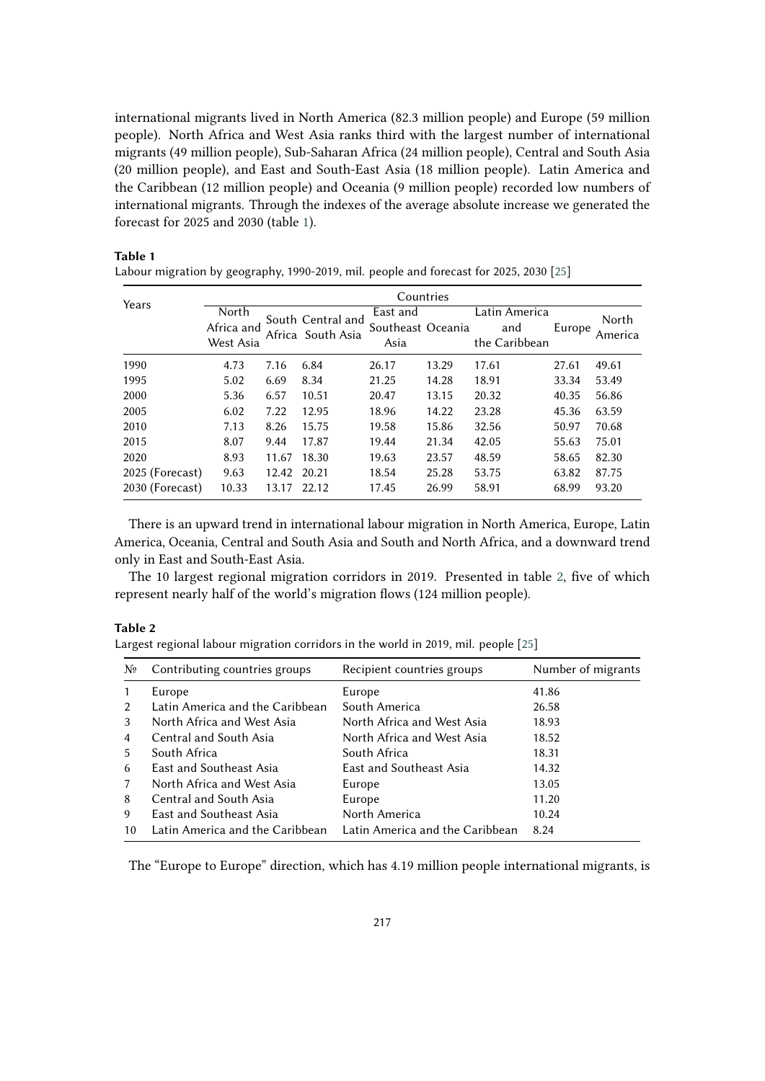international migrants lived in North America (82.3 million people) and Europe (59 million people). North Africa and West Asia ranks third with the largest number of international migrants (49 million people), Sub-Saharan Africa (24 million people), Central and South Asia (20 million people), and East and South-East Asia (18 million people). Latin America and the Caribbean (12 million people) and Oceania (9 million people) recorded low numbers of international migrants. Through the indexes of the average absolute increase we generated the forecast for 2025 and 2030 (table [1\)](#page-6-0).

#### Years Countries **North** Africa and West Asia South Central and Africa South Asia East and Southeast Oceania Asia Latin America and the Caribbean Europe North America 1990 4.73 7.16 6.84 26.17 13.29 17.61 27.61 49.61 1995 5.02 6.69 8.34 21.25 14.28 18.91 33.34 53.49 2000 5.36 6.57 10.51 20.47 13.15 20.32 40.35 56.86 2005 6.02 7.22 12.95 18.96 14.22 23.28 45.36 63.59 2010 7.13 8.26 15.75 19.58 15.86 32.56 50.97 70.68 2015 8.07 9.44 17.87 19.44 21.34 42.05 55.63 75.01 2020 8.93 11.67 18.30 19.63 23.57 48.59 58.65 82.30 2025 (Forecast) 9.63 12.42 20.21 18.54 25.28 53.75 63.82 87.75 2030 (Forecast) 10.33 13.17 22.12 17.45 26.99 58.91 68.99 93.20

### **Table 1**

<span id="page-6-0"></span>Labour migration by geography, 1990-2019, mil. people and forecast for 2025, 2030 [\[25\]](#page-13-7)

There is an upward trend in international labour migration in North America, Europe, Latin America, Oceania, Central and South Asia and South and North Africa, and a downward trend only in East and South-East Asia.

The 10 largest regional migration corridors in 2019. Presented in table [2,](#page-6-1) five of which represent nearly half of the world's migration flows (124 million people).

#### **Table 2**

<span id="page-6-1"></span>Largest regional labour migration corridors in the world in 2019, mil. people [\[25\]](#page-13-7)

| Nº            | Contributing countries groups   | Recipient countries groups      | Number of migrants |
|---------------|---------------------------------|---------------------------------|--------------------|
| $\mathbf{1}$  | Europe                          | Europe                          | 41.86              |
| $\mathcal{P}$ | Latin America and the Caribbean | South America                   | 26.58              |
| 3             | North Africa and West Asia      | North Africa and West Asia      | 18.93              |
| 4             | Central and South Asia          | North Africa and West Asia      | 18.52              |
| 5             | South Africa                    | South Africa                    | 18.31              |
| 6             | East and Southeast Asia         | East and Southeast Asia         | 14.32              |
| 7             | North Africa and West Asia      | Europe                          | 13.05              |
| 8             | Central and South Asia          | Europe                          | 11.20              |
| 9             | East and Southeast Asia         | North America                   | 10.24              |
| 10            | Latin America and the Caribbean | Latin America and the Caribbean | 8.24               |

The "Europe to Europe" direction, which has 4.19 million people international migrants, is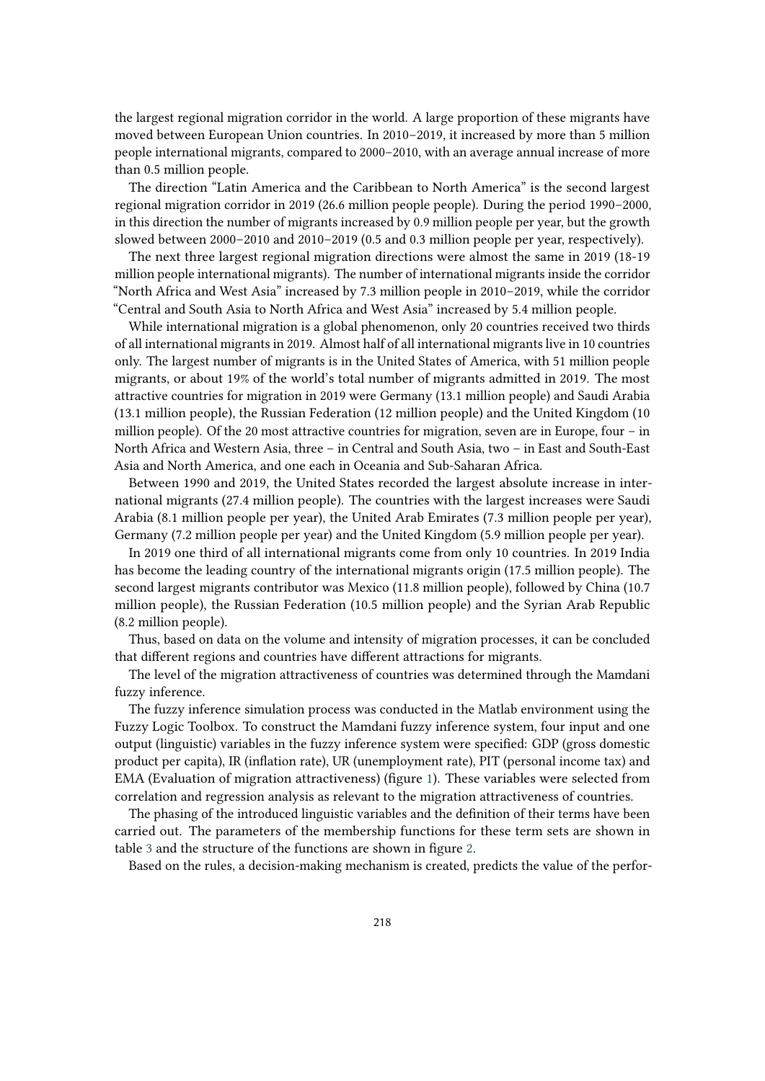the largest regional migration corridor in the world. A large proportion of these migrants have moved between European Union countries. In 2010–2019, it increased by more than 5 million people international migrants, compared to 2000–2010, with an average annual increase of more than 0.5 million people.

The direction "Latin America and the Caribbean to North America" is the second largest regional migration corridor in 2019 (26.6 million people people). During the period 1990–2000, in this direction the number of migrants increased by 0.9 million people per year, but the growth slowed between 2000–2010 and 2010–2019 (0.5 and 0.3 million people per year, respectively).

The next three largest regional migration directions were almost the same in 2019 (18-19 million people international migrants). The number of international migrants inside the corridor "North Africa and West Asia" increased by 7.3 million people in 2010–2019, while the corridor "Central and South Asia to North Africa and West Asia" increased by 5.4 million people.

While international migration is a global phenomenon, only 20 countries received two thirds of all international migrants in 2019. Almost half of all international migrants live in 10 countries only. The largest number of migrants is in the United States of America, with 51 million people migrants, or about 19% of the world's total number of migrants admitted in 2019. The most attractive countries for migration in 2019 were Germany (13.1 million people) and Saudi Arabia (13.1 million people), the Russian Federation (12 million people) and the United Kingdom (10 million people). Of the 20 most attractive countries for migration, seven are in Europe, four – in North Africa and Western Asia, three – in Central and South Asia, two – in East and South-East Asia and North America, and one each in Oceania and Sub-Saharan Africa.

Between 1990 and 2019, the United States recorded the largest absolute increase in international migrants (27.4 million people). The countries with the largest increases were Saudi Arabia (8.1 million people per year), the United Arab Emirates (7.3 million people per year), Germany (7.2 million people per year) and the United Kingdom (5.9 million people per year).

In 2019 one third of all international migrants come from only 10 countries. In 2019 India has become the leading country of the international migrants origin (17.5 million people). The second largest migrants contributor was Mexico (11.8 million people), followed by China (10.7 million people), the Russian Federation (10.5 million people) and the Syrian Arab Republic (8.2 million people).

Thus, based on data on the volume and intensity of migration processes, it can be concluded that different regions and countries have different attractions for migrants.

The level of the migration attractiveness of countries was determined through the Mamdani fuzzy inference.

The fuzzy inference simulation process was conducted in the Matlab environment using the Fuzzy Logic Toolbox. To construct the Mamdani fuzzy inference system, four input and one output (linguistic) variables in the fuzzy inference system were specified: GDP (gross domestic product per capita), IR (inflation rate), UR (unemployment rate), PIT (personal income tax) and EMA (Evaluation of migration attractiveness) (figure [1\)](#page-8-0). These variables were selected from correlation and regression analysis as relevant to the migration attractiveness of countries.

The phasing of the introduced linguistic variables and the definition of their terms have been carried out. The parameters of the membership functions for these term sets are shown in table [3](#page-10-0) and the structure of the functions are shown in figure [2.](#page-9-0)

Based on the rules, a decision-making mechanism is created, predicts the value of the perfor-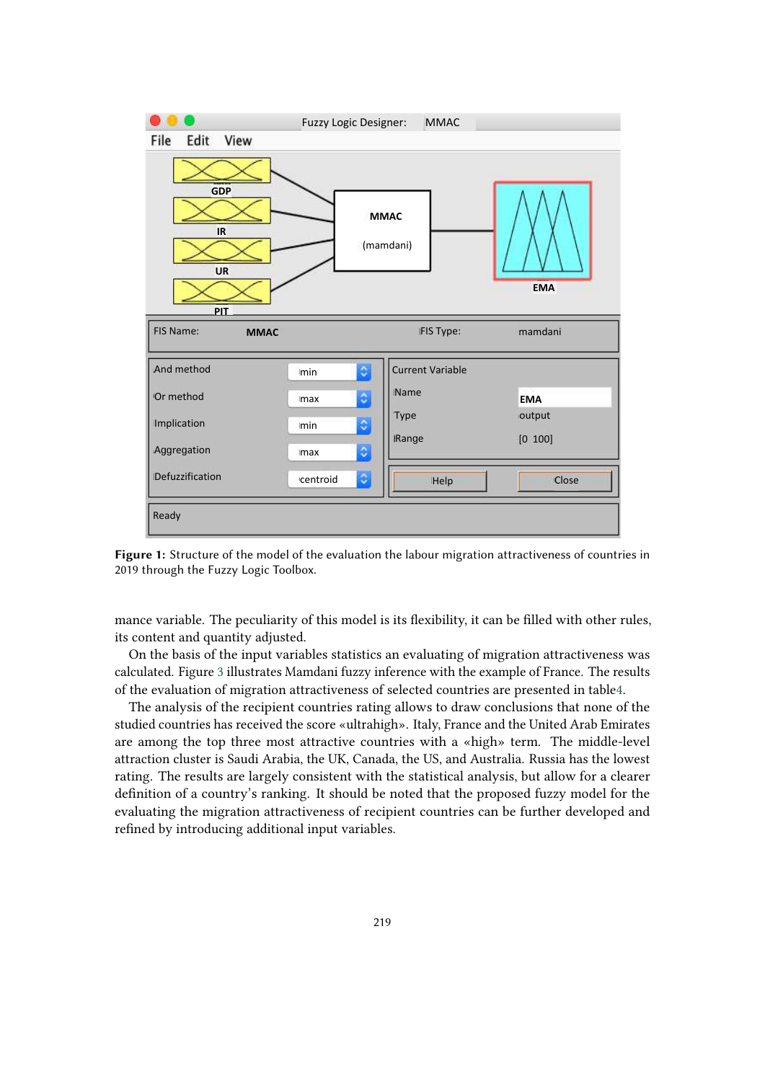

<span id="page-8-0"></span>**Figure 1:** Structure of the model of the evaluation the labour migration attractiveness of countries in 2019 through the Fuzzy Logic Toolbox.

mance variable. The peculiarity of this model is its flexibility, it can be filled with other rules, its content and quantity adjusted.

On the basis of the input variables statistics an evaluating of migration attractiveness was calculated. Figure [3](#page-11-1) illustrates Mamdani fuzzy inference with the example of France. The results of the evaluation of migration attractiveness of selected countries are presented in tabl[e4.](#page-10-1)

The analysis of the recipient countries rating allows to draw conclusions that none of the studied countries has received the score «ultrahigh». Italy, France and the United Arab Emirates are among the top three most attractive countries with a «high» term. The middle-level attraction cluster is Saudi Arabia, the UK, Canada, the US, and Australia. Russia has the lowest rating. The results are largely consistent with the statistical analysis, but allow for a clearer definition of a country's ranking. It should be noted that the proposed fuzzy model for the evaluating the migration attractiveness of recipient countries can be further developed and refined by introducing additional input variables.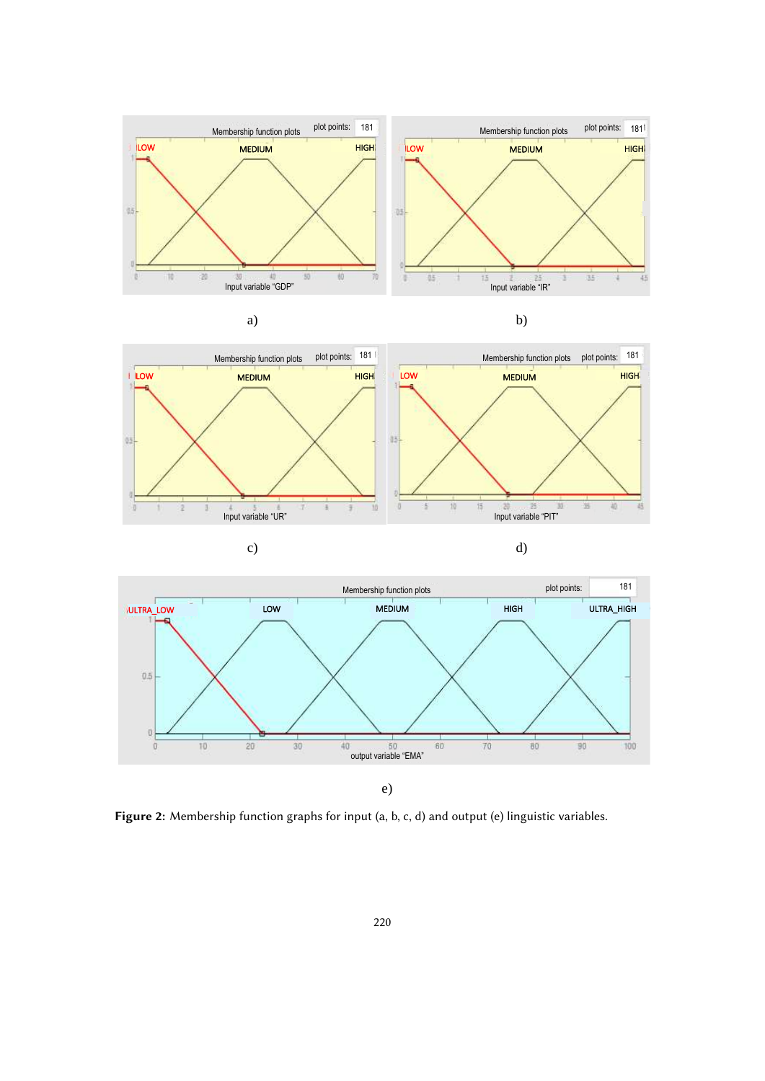





<span id="page-9-0"></span>**Figure 2:** Membership function graphs for input (a, b, c, d) and output (e) linguistic variables.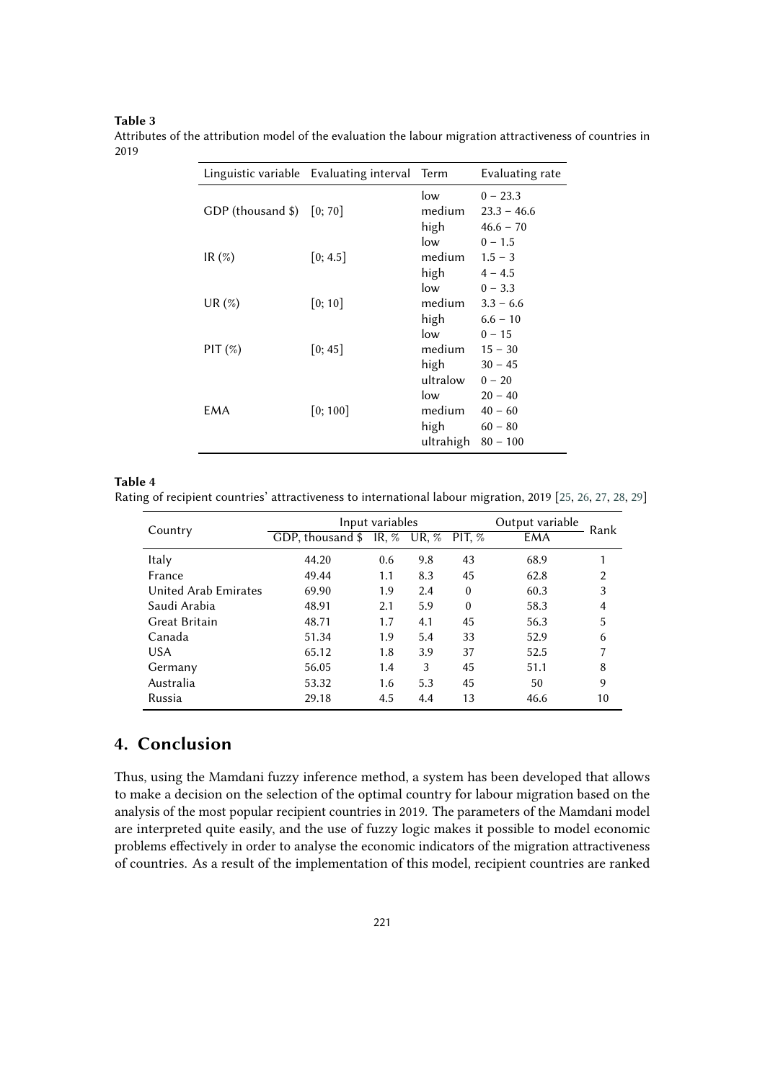### **Table 3**

|                              | Linguistic variable Evaluating interval Term |           | Evaluating rate |  |
|------------------------------|----------------------------------------------|-----------|-----------------|--|
|                              |                                              | low       | $0 - 23.3$      |  |
| GDP (thousand $\sin$ [0; 70] |                                              | medium    | $23.3 - 46.6$   |  |
|                              |                                              | high      | $46.6 - 70$     |  |
|                              |                                              | low       | $0 - 1.5$       |  |
| IR $(\%)$                    | [0; 4.5]                                     | medium    | $1.5 - 3$       |  |
|                              |                                              | high      | $4 - 4.5$       |  |
|                              |                                              | low       | $0 - 3.3$       |  |
| UR $(\%)$                    | [0; 10]                                      | medium    | $3.3 - 6.6$     |  |
|                              |                                              | high      | $6.6 - 10$      |  |
|                              |                                              | low       | $0 - 15$        |  |
| $PIT (\%)$                   | [0; 45]                                      | medium    | $15 - 30$       |  |
|                              |                                              | high      | $30 - 45$       |  |
|                              |                                              | ultralow  | $0 - 20$        |  |
|                              |                                              | low       | $20 - 40$       |  |
| EMA                          | [0; 100]                                     | medium    | $40 - 60$       |  |
|                              |                                              | high      | $60 - 80$       |  |
|                              |                                              | ultrahigh | $80 - 100$      |  |

<span id="page-10-0"></span>Attributes of the attribution model of the evaluation the labour migration attractiveness of countries in 2019

#### **Table 4**

<span id="page-10-1"></span>Rating of recipient countries' attractiveness to international labour migration, 2019 [\[25,](#page-13-7) [26,](#page-13-8) [27,](#page-13-9) [28,](#page-13-10) [29\]](#page-13-11)

|                      | Input variables              |     |         |          | Output variable | Rank |
|----------------------|------------------------------|-----|---------|----------|-----------------|------|
| Country              | GDP, thousand $\$\$ IR, $\%$ |     | UR, $%$ | PIT. $%$ | EMA             |      |
| Italy                | 44.20                        | 0.6 | 9.8     | 43       | 68.9            |      |
| France               | 49.44                        | 1.1 | 8.3     | 45       | 62.8            | 2    |
| United Arab Emirates | 69.90                        | 1.9 | 2.4     | $\theta$ | 60.3            | 3    |
| Saudi Arabia         | 48.91                        | 2.1 | 5.9     | $\theta$ | 58.3            | 4    |
| Great Britain        | 48.71                        | 1.7 | 4.1     | 45       | 56.3            | 5    |
| Canada               | 51.34                        | 1.9 | 5.4     | 33       | 52.9            | 6    |
| <b>USA</b>           | 65.12                        | 1.8 | 3.9     | 37       | 52.5            |      |
| Germany              | 56.05                        | 1.4 | 3       | 45       | 51.1            | 8    |
| Australia            | 53.32                        | 1.6 | 5.3     | 45       | 50              | 9    |
| Russia               | 29.18                        | 4.5 | 4.4     | 13       | 46.6            | 10   |

### **4. Conclusion**

Thus, using the Mamdani fuzzy inference method, a system has been developed that allows to make a decision on the selection of the optimal country for labour migration based on the analysis of the most popular recipient countries in 2019. The parameters of the Mamdani model are interpreted quite easily, and the use of fuzzy logic makes it possible to model economic problems effectively in order to analyse the economic indicators of the migration attractiveness of countries. As a result of the implementation of this model, recipient countries are ranked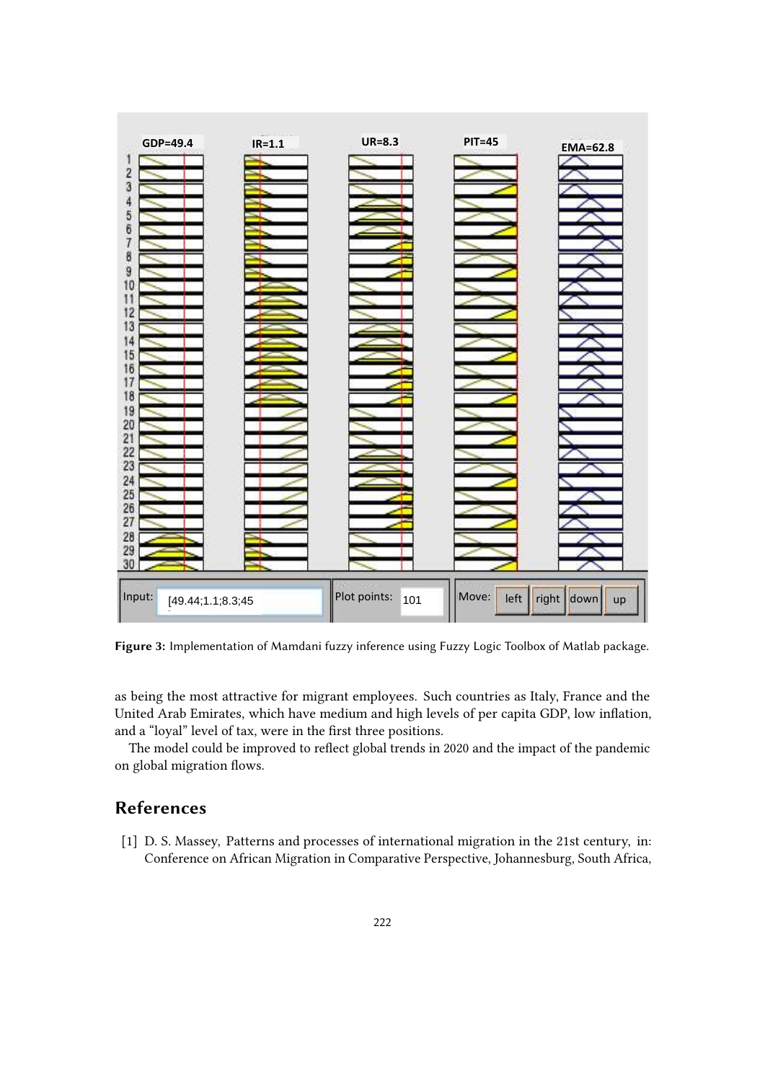

**Figure 3:** Implementation of Mamdani fuzzy inference using Fuzzy Logic Toolbox of Matlab package.

<span id="page-11-1"></span>as being the most attractive for migrant employees. Such countries as Italy, France and the United Arab Emirates, which have medium and high levels of per capita GDP, low inflation, and a "loyal" level of tax, were in the first three positions.

The model could be improved to reflect global trends in 2020 and the impact of the pandemic on global migration flows.

## **References**

<span id="page-11-0"></span>[1] D. S. Massey, Patterns and processes of international migration in the 21st century, in: Conference on African Migration in Comparative Perspective, Johannesburg, South Africa,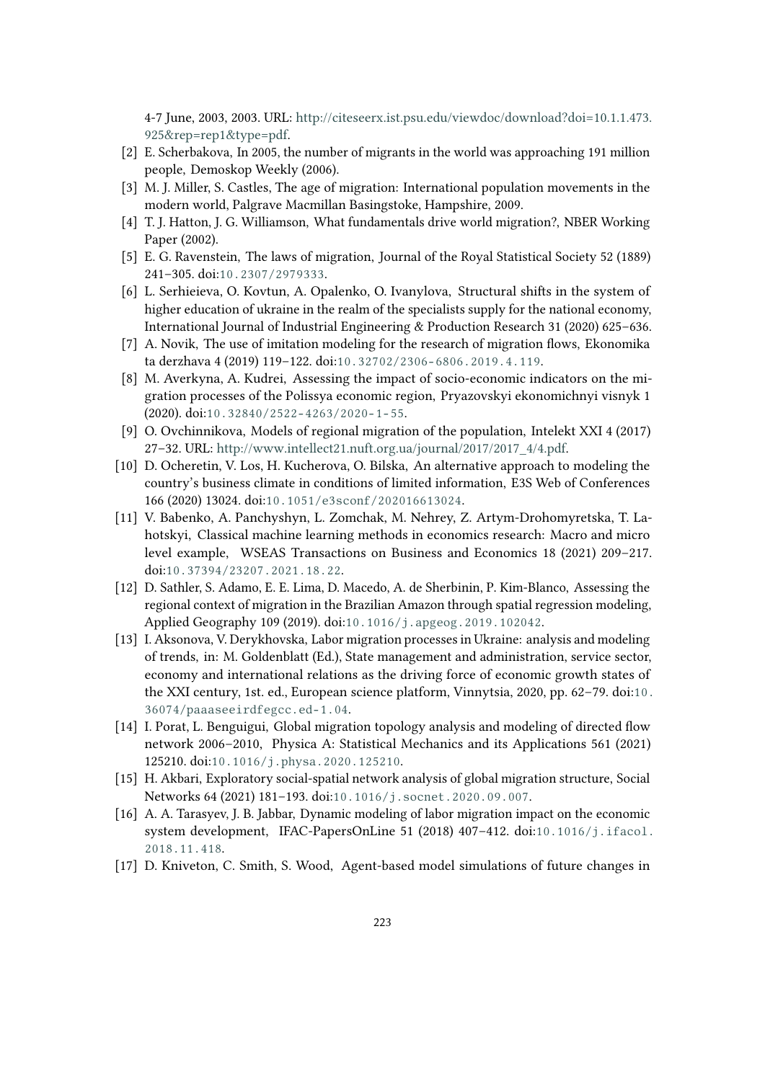4-7 June, 2003, 2003. URL: [http://citeseerx.ist.psu.edu/viewdoc/download?doi=10.1.1.473.](http://citeseerx.ist.psu.edu/viewdoc/download?doi=10.1.1.473.925&rep=rep1&type=pdf) [925&rep=rep1&type=pdf.](http://citeseerx.ist.psu.edu/viewdoc/download?doi=10.1.1.473.925&rep=rep1&type=pdf)

- <span id="page-12-0"></span>[2] E. Scherbakova, In 2005, the number of migrants in the world was approaching 191 million people, Demoskop Weekly (2006).
- <span id="page-12-1"></span>[3] M. J. Miller, S. Castles, The age of migration: International population movements in the modern world, Palgrave Macmillan Basingstoke, Hampshire, 2009.
- <span id="page-12-2"></span>[4] T. J. Hatton, J. G. Williamson, What fundamentals drive world migration?, NBER Working Paper (2002).
- <span id="page-12-3"></span>[5] E. G. Ravenstein, The laws of migration, Journal of the Royal Statistical Society 52 (1889) 241–305. doi:[10.2307/2979333](http://dx.doi.org/10.2307/2979333).
- <span id="page-12-4"></span>[6] L. Serhieieva, O. Kovtun, A. Opalenko, O. Ivanylova, Structural shifts in the system of higher education of ukraine in the realm of the specialists supply for the national economy, International Journal of Industrial Engineering & Production Research 31 (2020) 625–636.
- <span id="page-12-5"></span>[7] A. Novik, The use of imitation modeling for the research of migration flows, Ekonomika ta derzhava 4 (2019) 119–122. doi:[10.32702/2306- 6806.2019.4.119](http://dx.doi.org/10.32702/2306-6806.2019.4.119).
- <span id="page-12-6"></span>[8] M. Averkyna, A. Kudrei, Assessing the impact of socio-economic indicators on the migration processes of the Polissya economic region, Pryazovskyi ekonomichnyi visnyk 1 (2020). doi:[10.32840/2522- 4263/2020- 1- 55](http://dx.doi.org/10.32840/2522-4263/2020-1-55).
- <span id="page-12-7"></span>[9] O. Ovchinnikova, Models of regional migration of the population, Intelekt XXI 4 (2017) 27–32. URL: [http://www.intellect21.nuft.org.ua/journal/2017/2017\\_4/4.pdf.](http://www.intellect21.nuft.org.ua/journal/2017/2017_4/4.pdf)
- <span id="page-12-8"></span>[10] D. Ocheretin, V. Los, H. Kucherova, O. Bilska, An alternative approach to modeling the country's business climate in conditions of limited information, E3S Web of Conferences 166 (2020) 13024. doi:[10.1051/e3sconf/202016613024](http://dx.doi.org/10.1051/e3sconf/202016613024).
- <span id="page-12-9"></span>[11] V. Babenko, A. Panchyshyn, L. Zomchak, M. Nehrey, Z. Artym-Drohomyretska, T. Lahotskyi, Classical machine learning methods in economics research: Macro and micro level example, WSEAS Transactions on Business and Economics 18 (2021) 209–217. doi:[10.37394/23207.2021.18.22](http://dx.doi.org/10.37394/23207.2021.18.22).
- <span id="page-12-10"></span>[12] D. Sathler, S. Adamo, E. E. Lima, D. Macedo, A. de Sherbinin, P. Kim-Blanco, Assessing the regional context of migration in the Brazilian Amazon through spatial regression modeling, Applied Geography 109 (2019). doi:[10.1016/j.apgeog.2019.102042](http://dx.doi.org/10.1016/j.apgeog.2019.102042).
- <span id="page-12-11"></span>[13] I. Aksonova, V. Derykhovska, Labor migration processes in Ukraine: analysis and modeling of trends, in: M. Goldenblatt (Ed.), State management and administration, service sector, economy and international relations as the driving force of economic growth states of the XXI century, 1st. ed., European science platform, Vinnytsia, 2020, pp. 62–79. doi:[10.](http://dx.doi.org/10.36074/paaaseeirdfegcc.ed-1.04) [36074/paaaseeirdfegcc.ed- 1.04](http://dx.doi.org/10.36074/paaaseeirdfegcc.ed-1.04).
- <span id="page-12-12"></span>[14] I. Porat, L. Benguigui, Global migration topology analysis and modeling of directed flow network 2006–2010, Physica A: Statistical Mechanics and its Applications 561 (2021) 125210. doi:[10.1016/j.physa.2020.125210](http://dx.doi.org/10.1016/j.physa.2020.125210).
- <span id="page-12-13"></span>[15] H. Akbari, Exploratory social-spatial network analysis of global migration structure, Social Networks 64 (2021) 181–193. doi:[10.1016/j.socnet.2020.09.007](http://dx.doi.org/10.1016/j.socnet.2020.09.007).
- <span id="page-12-14"></span>[16] A. A. Tarasyev, J. B. Jabbar, Dynamic modeling of labor migration impact on the economic system development, IFAC-PapersOnLine 51 (2018) 407–412. doi:[10.1016/j.ifacol.](http://dx.doi.org/10.1016/j.ifacol.2018.11.418) [2018.11.418](http://dx.doi.org/10.1016/j.ifacol.2018.11.418).
- <span id="page-12-15"></span>[17] D. Kniveton, C. Smith, S. Wood, Agent-based model simulations of future changes in